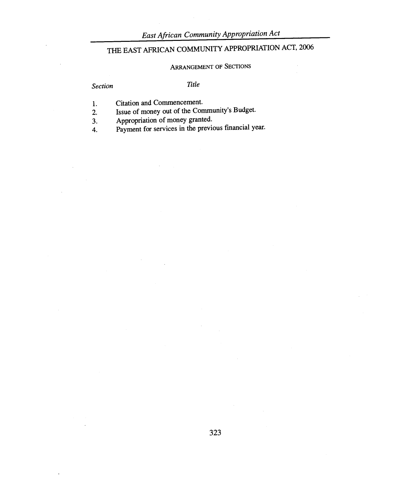# THE EAST AFRICAN COMMUNITY APPROPRIATION ACT, 2006

# ARRANGEMENT OF SECTIONS

# *Section Title*

- 1. Citation and Commencement.<br>2. Issue of money out of the Con
- 2. Issue of money out of the Community's Budget.<br>3. Appropriation of money granted.
- 
- 3. Appropriation of money granted.<br>4. Payment for services in the previ Payment for services in the previous financial year.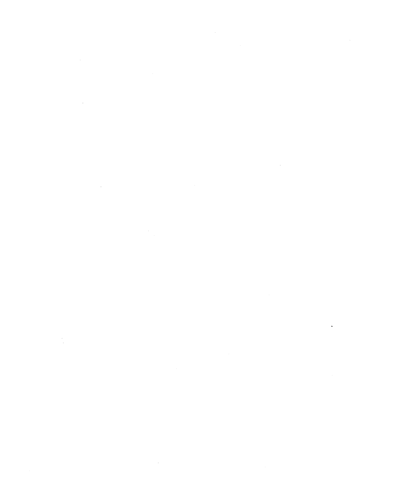$\label{eq:2.1} \frac{1}{\sqrt{2}}\int_{\mathbb{R}^3}\frac{1}{\sqrt{2}}\left(\frac{1}{\sqrt{2}}\right)^2\frac{1}{\sqrt{2}}\left(\frac{1}{\sqrt{2}}\right)^2\frac{1}{\sqrt{2}}\left(\frac{1}{\sqrt{2}}\right)^2\frac{1}{\sqrt{2}}\left(\frac{1}{\sqrt{2}}\right)^2.$ 

 $\label{eq:2.1} \frac{1}{\sqrt{2}}\int_{0}^{\infty}\frac{1}{\sqrt{2\pi}}\left(\frac{1}{\sqrt{2\pi}}\right)^{2\alpha} \frac{1}{\sqrt{2\pi}}\int_{0}^{\infty}\frac{1}{\sqrt{2\pi}}\left(\frac{1}{\sqrt{2\pi}}\right)^{\alpha} \frac{1}{\sqrt{2\pi}}\frac{1}{\sqrt{2\pi}}\int_{0}^{\infty}\frac{1}{\sqrt{2\pi}}\frac{1}{\sqrt{2\pi}}\frac{1}{\sqrt{2\pi}}\frac{1}{\sqrt{2\pi}}\frac{1}{\sqrt{2\pi}}\frac{1}{\sqrt{2\pi}}$  $\label{eq:2.1} \frac{1}{\sqrt{2}}\int_{\mathbb{R}^3}\frac{1}{\sqrt{2}}\left(\frac{1}{\sqrt{2}}\int_{\mathbb{R}^3}\frac{1}{\sqrt{2}}\left(\frac{1}{\sqrt{2}}\int_{\mathbb{R}^3}\frac{1}{\sqrt{2}}\left(\frac{1}{\sqrt{2}}\int_{\mathbb{R}^3}\frac{1}{\sqrt{2}}\right)\frac{1}{\sqrt{2}}\right)\frac{1}{\sqrt{2}}\right)=\frac{1}{2}\int_{\mathbb{R}^3}\frac{1}{\sqrt{2}}\int_{\mathbb{R}^3}\frac{1}{\sqrt{2}}\frac{1}{\$ 

 $\label{eq:2.1} \frac{1}{\sqrt{2}}\int_{0}^{\infty}\frac{dx}{\sqrt{2\pi}}\left(\frac{dx}{\sqrt{2\pi}}\right)^{2}dx\int_{0}^{\infty}\frac{dx}{\sqrt{2\pi}}\left(\frac{dx}{\sqrt{2\pi}}\right)^{2}dx\int_{0}^{\infty}\frac{dx}{\sqrt{2\pi}}\frac{dx}{\sqrt{2\pi}}\int_{0}^{\infty}\frac{dx}{\sqrt{2\pi}}\frac{dx}{\sqrt{2\pi}}\frac{dx}{\sqrt{2\pi}}\frac{dx}{\sqrt{2\pi}}\frac{dx}{\sqrt{2\pi}}\frac{dx}{\sqrt{2\pi}}\frac{$ 

 $\label{eq:2.1} \mathcal{L}(\mathcal{L}^{\text{max}}_{\mathcal{L}}(\mathcal{L}^{\text{max}}_{\mathcal{L}})) \leq \mathcal{L}(\mathcal{L}^{\text{max}}_{\mathcal{L}}(\mathcal{L}^{\text{max}}_{\mathcal{L}}))$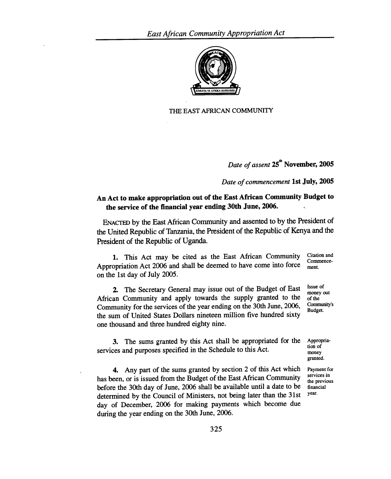### *East African Community Appropriation Act*



#### THE EAST AFRICAN COMMUNITY

*Date of assent* **25th November, 2005** 

#### *Date of commencement* **1st July, 2005**

# **An Act to make appropriation out of the East African Community Budget to the service of the financial year ending 30th June, 2006.**

ENACTED by the East African Community and assented to by the President of the United Republic of Tanzania, the President of the Republic of Kenya and the President of the Republic of Uganda.

**1.** This Act may be cited as the East African Community Appropriation Act 2006 and shall be deemed to have come into force on the 1st day of July 2005. Citation and Commencement.

2. The Secretary General may issue out of the Budget of East African Community and apply towards the supply granted to the Community for the services of the year ending on the 30th June, 2006, the sum of United States Dollars nineteen million five hundred sixty one thousand and three hundred eighty nine.

Issue of money out of the Community's Budget.

Appropriation of money granted. Payment for services in the previous financial year.

3. The sums granted by this Act shall be appropriated for the services and purposes specified in the Schedule to this Act.

4. Any part of the sums granted by section 2 of this Act which has been, or is issued from the Budget of the East African Community before the 30th day of June, 2006 shall be available until a date to be determined by the Council of Ministers, not being later than the 31st day of December, 2006 for making payments which become due during the year ending on the 30th June, 2006.